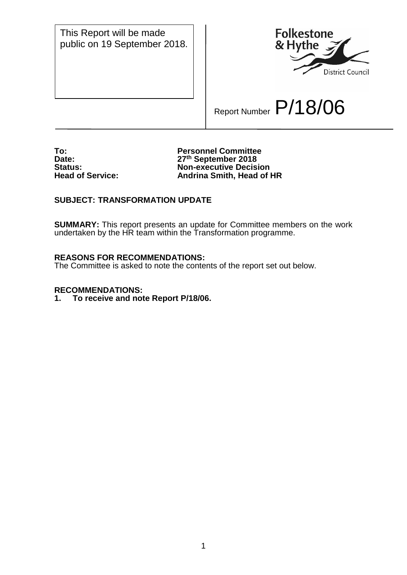This Report will be made public on 19 September 2018.



Report Number P/18/06

**To: Personnel Committee Date: 27th September 2018 Status: Non-executive Decision Andrina Smith, Head of HR** 

## **SUBJECT: TRANSFORMATION UPDATE**

**SUMMARY:** This report presents an update for Committee members on the work undertaken by the HR team within the Transformation programme.

### **REASONS FOR RECOMMENDATIONS:**

The Committee is asked to note the contents of the report set out below.

#### **RECOMMENDATIONS:**

**1. To receive and note Report P/18/06.**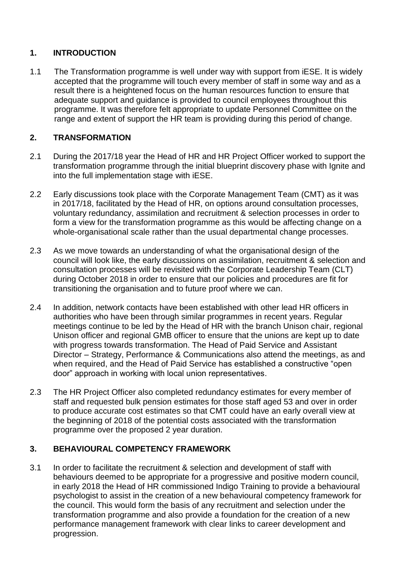# **1. INTRODUCTION**

1.1 The Transformation programme is well under way with support from iESE. It is widely accepted that the programme will touch every member of staff in some way and as a result there is a heightened focus on the human resources function to ensure that adequate support and guidance is provided to council employees throughout this programme. It was therefore felt appropriate to update Personnel Committee on the range and extent of support the HR team is providing during this period of change.

# **2. TRANSFORMATION**

- 2.1 During the 2017/18 year the Head of HR and HR Project Officer worked to support the transformation programme through the initial blueprint discovery phase with Ignite and into the full implementation stage with iESE.
- 2.2 Early discussions took place with the Corporate Management Team (CMT) as it was in 2017/18, facilitated by the Head of HR, on options around consultation processes, voluntary redundancy, assimilation and recruitment & selection processes in order to form a view for the transformation programme as this would be affecting change on a whole-organisational scale rather than the usual departmental change processes.
- 2.3 As we move towards an understanding of what the organisational design of the council will look like, the early discussions on assimilation, recruitment & selection and consultation processes will be revisited with the Corporate Leadership Team (CLT) during October 2018 in order to ensure that our policies and procedures are fit for transitioning the organisation and to future proof where we can.
- 2.4 In addition, network contacts have been established with other lead HR officers in authorities who have been through similar programmes in recent years. Regular meetings continue to be led by the Head of HR with the branch Unison chair, regional Unison officer and regional GMB officer to ensure that the unions are kept up to date with progress towards transformation. The Head of Paid Service and Assistant Director – Strategy, Performance & Communications also attend the meetings, as and when required, and the Head of Paid Service has established a constructive "open door" approach in working with local union representatives.
- 2.3 The HR Project Officer also completed redundancy estimates for every member of staff and requested bulk pension estimates for those staff aged 53 and over in order to produce accurate cost estimates so that CMT could have an early overall view at the beginning of 2018 of the potential costs associated with the transformation programme over the proposed 2 year duration.

# **3. BEHAVIOURAL COMPETENCY FRAMEWORK**

3.1 In order to facilitate the recruitment & selection and development of staff with behaviours deemed to be appropriate for a progressive and positive modern council, in early 2018 the Head of HR commissioned Indigo Training to provide a behavioural psychologist to assist in the creation of a new behavioural competency framework for the council. This would form the basis of any recruitment and selection under the transformation programme and also provide a foundation for the creation of a new performance management framework with clear links to career development and progression.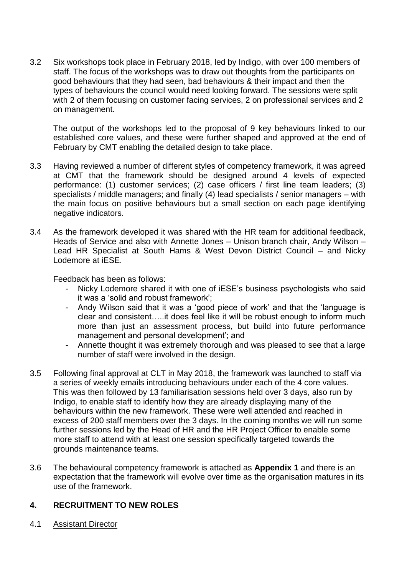3.2 Six workshops took place in February 2018, led by Indigo, with over 100 members of staff. The focus of the workshops was to draw out thoughts from the participants on good behaviours that they had seen, bad behaviours & their impact and then the types of behaviours the council would need looking forward. The sessions were split with 2 of them focusing on customer facing services, 2 on professional services and 2 on management.

The output of the workshops led to the proposal of 9 key behaviours linked to our established core values, and these were further shaped and approved at the end of February by CMT enabling the detailed design to take place.

- 3.3 Having reviewed a number of different styles of competency framework, it was agreed at CMT that the framework should be designed around 4 levels of expected performance: (1) customer services; (2) case officers / first line team leaders; (3) specialists / middle managers; and finally (4) lead specialists / senior managers – with the main focus on positive behaviours but a small section on each page identifying negative indicators.
- 3.4 As the framework developed it was shared with the HR team for additional feedback, Heads of Service and also with Annette Jones – Unison branch chair, Andy Wilson – Lead HR Specialist at South Hams & West Devon District Council – and Nicky Lodemore at iESE.

Feedback has been as follows:

- Nicky Lodemore shared it with one of iESE's business psychologists who said it was a 'solid and robust framework';
- Andy Wilson said that it was a 'good piece of work' and that the 'language is clear and consistent…..it does feel like it will be robust enough to inform much more than just an assessment process, but build into future performance management and personal development'; and
- Annette thought it was extremely thorough and was pleased to see that a large number of staff were involved in the design.
- 3.5 Following final approval at CLT in May 2018, the framework was launched to staff via a series of weekly emails introducing behaviours under each of the 4 core values. This was then followed by 13 familiarisation sessions held over 3 days, also run by Indigo, to enable staff to identify how they are already displaying many of the behaviours within the new framework. These were well attended and reached in excess of 200 staff members over the 3 days. In the coming months we will run some further sessions led by the Head of HR and the HR Project Officer to enable some more staff to attend with at least one session specifically targeted towards the grounds maintenance teams.
- 3.6 The behavioural competency framework is attached as **Appendix 1** and there is an expectation that the framework will evolve over time as the organisation matures in its use of the framework.

## **4. RECRUITMENT TO NEW ROLES**

4.1 Assistant Director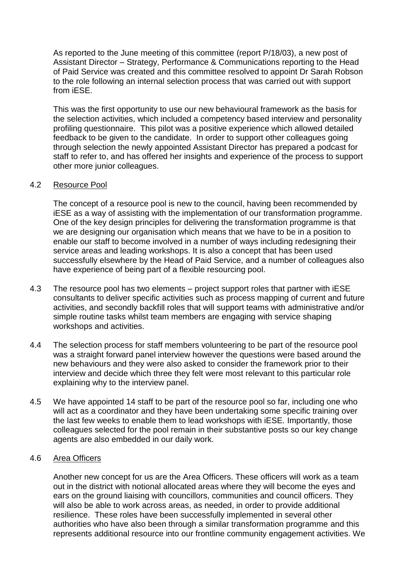As reported to the June meeting of this committee (report P/18/03), a new post of Assistant Director – Strategy, Performance & Communications reporting to the Head of Paid Service was created and this committee resolved to appoint Dr Sarah Robson to the role following an internal selection process that was carried out with support from iESE.

This was the first opportunity to use our new behavioural framework as the basis for the selection activities, which included a competency based interview and personality profiling questionnaire. This pilot was a positive experience which allowed detailed feedback to be given to the candidate. In order to support other colleagues going through selection the newly appointed Assistant Director has prepared a podcast for staff to refer to, and has offered her insights and experience of the process to support other more junior colleagues.

### 4.2 Resource Pool

The concept of a resource pool is new to the council, having been recommended by iESE as a way of assisting with the implementation of our transformation programme. One of the key design principles for delivering the transformation programme is that we are designing our organisation which means that we have to be in a position to enable our staff to become involved in a number of ways including redesigning their service areas and leading workshops. It is also a concept that has been used successfully elsewhere by the Head of Paid Service, and a number of colleagues also have experience of being part of a flexible resourcing pool.

- 4.3 The resource pool has two elements project support roles that partner with iESE consultants to deliver specific activities such as process mapping of current and future activities, and secondly backfill roles that will support teams with administrative and/or simple routine tasks whilst team members are engaging with service shaping workshops and activities.
- 4.4 The selection process for staff members volunteering to be part of the resource pool was a straight forward panel interview however the questions were based around the new behaviours and they were also asked to consider the framework prior to their interview and decide which three they felt were most relevant to this particular role explaining why to the interview panel.
- 4.5 We have appointed 14 staff to be part of the resource pool so far, including one who will act as a coordinator and they have been undertaking some specific training over the last few weeks to enable them to lead workshops with iESE. Importantly, those colleagues selected for the pool remain in their substantive posts so our key change agents are also embedded in our daily work.

#### 4.6 Area Officers

Another new concept for us are the Area Officers. These officers will work as a team out in the district with notional allocated areas where they will become the eyes and ears on the ground liaising with councillors, communities and council officers. They will also be able to work across areas, as needed, in order to provide additional resilience. These roles have been successfully implemented in several other authorities who have also been through a similar transformation programme and this represents additional resource into our frontline community engagement activities. We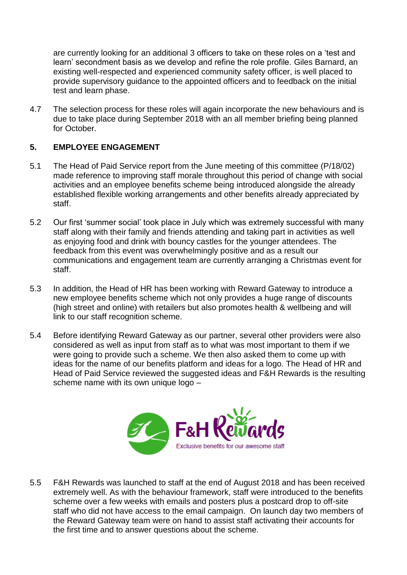are currently looking for an additional 3 officers to take on these roles on a 'test and learn' secondment basis as we develop and refine the role profile. Giles Barnard, an existing well-respected and experienced community safety officer, is well placed to provide supervisory guidance to the appointed officers and to feedback on the initial test and learn phase.

4.7 The selection process for these roles will again incorporate the new behaviours and is due to take place during September 2018 with an all member briefing being planned for October.

### **5. EMPLOYEE ENGAGEMENT**

- 5.1 The Head of Paid Service report from the June meeting of this committee (P/18/02) made reference to improving staff morale throughout this period of change with social activities and an employee benefits scheme being introduced alongside the already established flexible working arrangements and other benefits already appreciated by staff.
- 5.2 Our first 'summer social' took place in July which was extremely successful with many staff along with their family and friends attending and taking part in activities as well as enjoying food and drink with bouncy castles for the younger attendees. The feedback from this event was overwhelmingly positive and as a result our communications and engagement team are currently arranging a Christmas event for staff.
- 5.3 In addition, the Head of HR has been working with Reward Gateway to introduce a new employee benefits scheme which not only provides a huge range of discounts (high street and online) with retailers but also promotes health & wellbeing and will link to our staff recognition scheme.
- 5.4 Before identifying Reward Gateway as our partner, several other providers were also considered as well as input from staff as to what was most important to them if we were going to provide such a scheme. We then also asked them to come up with ideas for the name of our benefits platform and ideas for a logo. The Head of HR and Head of Paid Service reviewed the suggested ideas and F&H Rewards is the resulting scheme name with its own unique logo –



5.5 F&H Rewards was launched to staff at the end of August 2018 and has been received extremely well. As with the behaviour framework, staff were introduced to the benefits scheme over a few weeks with emails and posters plus a postcard drop to off-site staff who did not have access to the email campaign. On launch day two members of the Reward Gateway team were on hand to assist staff activating their accounts for the first time and to answer questions about the scheme.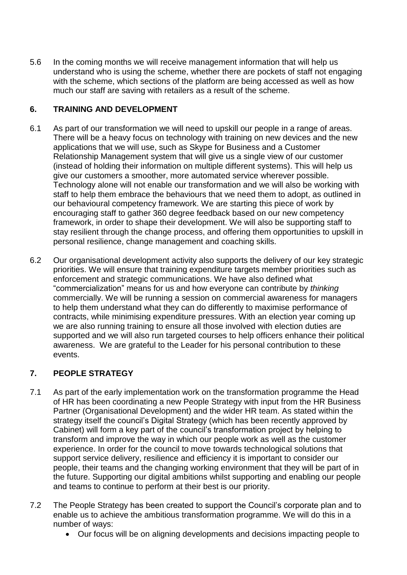5.6 In the coming months we will receive management information that will help us understand who is using the scheme, whether there are pockets of staff not engaging with the scheme, which sections of the platform are being accessed as well as how much our staff are saving with retailers as a result of the scheme.

## **6. TRAINING AND DEVELOPMENT**

- 6.1 As part of our transformation we will need to upskill our people in a range of areas. There will be a heavy focus on technology with training on new devices and the new applications that we will use, such as Skype for Business and a Customer Relationship Management system that will give us a single view of our customer (instead of holding their information on multiple different systems). This will help us give our customers a smoother, more automated service wherever possible. Technology alone will not enable our transformation and we will also be working with staff to help them embrace the behaviours that we need them to adopt, as outlined in our behavioural competency framework. We are starting this piece of work by encouraging staff to gather 360 degree feedback based on our new competency framework, in order to shape their development. We will also be supporting staff to stay resilient through the change process, and offering them opportunities to upskill in personal resilience, change management and coaching skills.
- 6.2 Our organisational development activity also supports the delivery of our key strategic priorities. We will ensure that training expenditure targets member priorities such as enforcement and strategic communications. We have also defined what "commercialization" means for us and how everyone can contribute by *thinking* commercially. We will be running a session on commercial awareness for managers to help them understand what they can do differently to maximise performance of contracts, while minimising expenditure pressures. With an election year coming up we are also running training to ensure all those involved with election duties are supported and we will also run targeted courses to help officers enhance their political awareness. We are grateful to the Leader for his personal contribution to these events.

# **7. PEOPLE STRATEGY**

- 7.1 As part of the early implementation work on the transformation programme the Head of HR has been coordinating a new People Strategy with input from the HR Business Partner (Organisational Development) and the wider HR team. As stated within the strategy itself the council's Digital Strategy (which has been recently approved by Cabinet) will form a key part of the council's transformation project by helping to transform and improve the way in which our people work as well as the customer experience. In order for the council to move towards technological solutions that support service delivery, resilience and efficiency it is important to consider our people, their teams and the changing working environment that they will be part of in the future. Supporting our digital ambitions whilst supporting and enabling our people and teams to continue to perform at their best is our priority.
- 7.2 The People Strategy has been created to support the Council's corporate plan and to enable us to achieve the ambitious transformation programme. We will do this in a number of ways:
	- Our focus will be on aligning developments and decisions impacting people to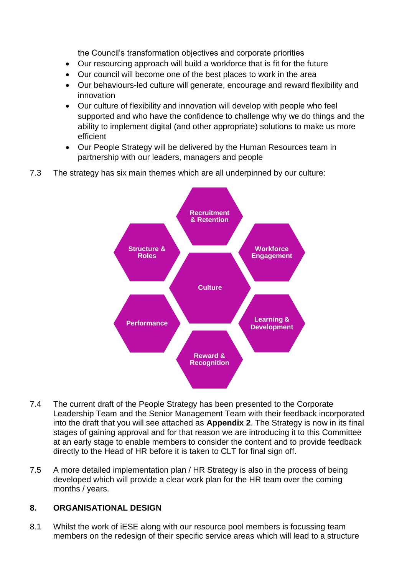the Council's transformation objectives and corporate priorities

- Our resourcing approach will build a workforce that is fit for the future
- Our council will become one of the best places to work in the area
- Our behaviours-led culture will generate, encourage and reward flexibility and innovation
- Our culture of flexibility and innovation will develop with people who feel supported and who have the confidence to challenge why we do things and the ability to implement digital (and other appropriate) solutions to make us more efficient
- Our People Strategy will be delivered by the Human Resources team in partnership with our leaders, managers and people
- 7.3 The strategy has six main themes which are all underpinned by our culture:



- 7.4 The current draft of the People Strategy has been presented to the Corporate Leadership Team and the Senior Management Team with their feedback incorporated into the draft that you will see attached as **Appendix 2**. The Strategy is now in its final stages of gaining approval and for that reason we are introducing it to this Committee at an early stage to enable members to consider the content and to provide feedback directly to the Head of HR before it is taken to CLT for final sign off.
- 7.5 A more detailed implementation plan / HR Strategy is also in the process of being developed which will provide a clear work plan for the HR team over the coming months / years.

## **8. ORGANISATIONAL DESIGN**

8.1 Whilst the work of iESE along with our resource pool members is focussing team members on the redesign of their specific service areas which will lead to a structure